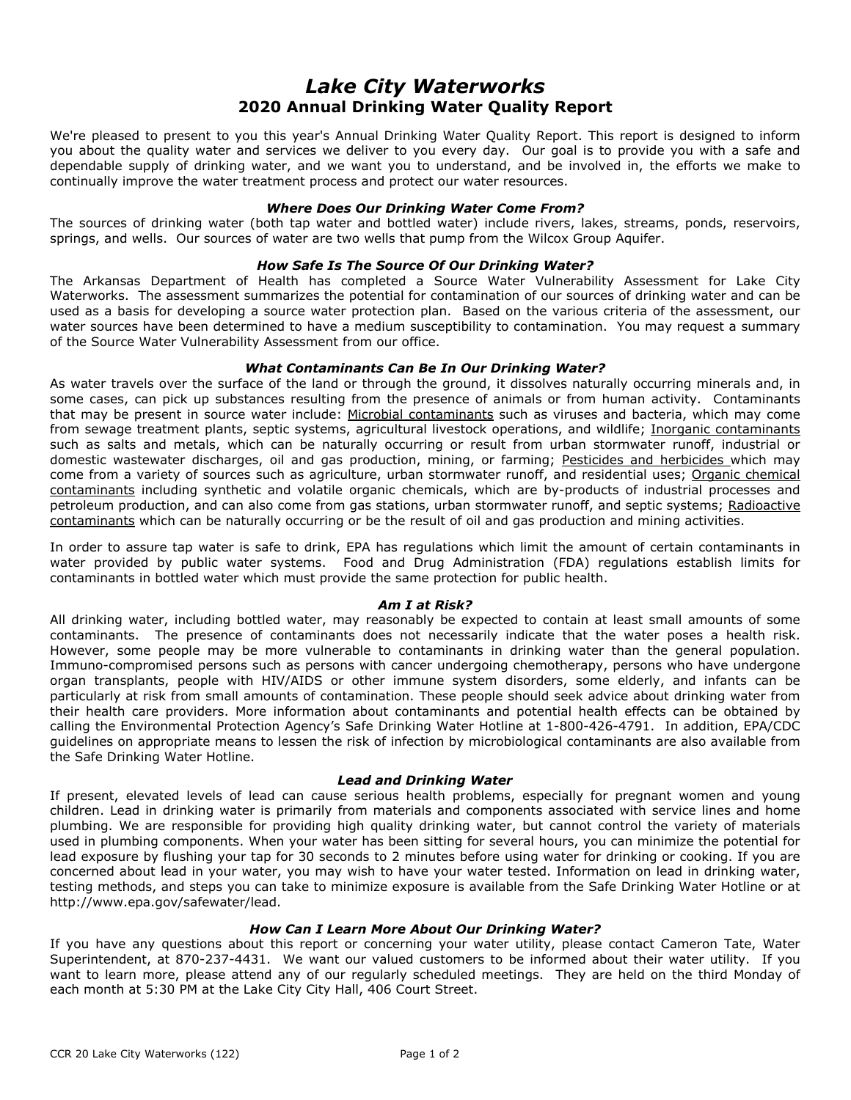# *Lake City Waterworks* **2020 Annual Drinking Water Quality Report**

We're pleased to present to you this year's Annual Drinking Water Quality Report. This report is designed to inform you about the quality water and services we deliver to you every day. Our goal is to provide you with a safe and dependable supply of drinking water, and we want you to understand, and be involved in, the efforts we make to continually improve the water treatment process and protect our water resources.

# *Where Does Our Drinking Water Come From?*

The sources of drinking water (both tap water and bottled water) include rivers, lakes, streams, ponds, reservoirs, springs, and wells. Our sources of water are two wells that pump from the Wilcox Group Aquifer.

## *How Safe Is The Source Of Our Drinking Water?*

The Arkansas Department of Health has completed a Source Water Vulnerability Assessment for Lake City Waterworks. The assessment summarizes the potential for contamination of our sources of drinking water and can be used as a basis for developing a source water protection plan. Based on the various criteria of the assessment, our water sources have been determined to have a medium susceptibility to contamination. You may request a summary of the Source Water Vulnerability Assessment from our office.

# *What Contaminants Can Be In Our Drinking Water?*

As water travels over the surface of the land or through the ground, it dissolves naturally occurring minerals and, in some cases, can pick up substances resulting from the presence of animals or from human activity. Contaminants that may be present in source water include: Microbial contaminants such as viruses and bacteria, which may come from sewage treatment plants, septic systems, agricultural livestock operations, and wildlife; Inorganic contaminants such as salts and metals, which can be naturally occurring or result from urban stormwater runoff, industrial or domestic wastewater discharges, oil and gas production, mining, or farming; Pesticides and herbicides which may come from a variety of sources such as agriculture, urban stormwater runoff, and residential uses; Organic chemical contaminants including synthetic and volatile organic chemicals, which are by-products of industrial processes and petroleum production, and can also come from gas stations, urban stormwater runoff, and septic systems; Radioactive contaminants which can be naturally occurring or be the result of oil and gas production and mining activities.

In order to assure tap water is safe to drink, EPA has regulations which limit the amount of certain contaminants in water provided by public water systems. Food and Drug Administration (FDA) regulations establish limits for contaminants in bottled water which must provide the same protection for public health.

#### *Am I at Risk?*

All drinking water, including bottled water, may reasonably be expected to contain at least small amounts of some contaminants. The presence of contaminants does not necessarily indicate that the water poses a health risk. However, some people may be more vulnerable to contaminants in drinking water than the general population. Immuno-compromised persons such as persons with cancer undergoing chemotherapy, persons who have undergone organ transplants, people with HIV/AIDS or other immune system disorders, some elderly, and infants can be particularly at risk from small amounts of contamination. These people should seek advice about drinking water from their health care providers. More information about contaminants and potential health effects can be obtained by calling the Environmental Protection Agency's Safe Drinking Water Hotline at 1-800-426-4791. In addition, EPA/CDC guidelines on appropriate means to lessen the risk of infection by microbiological contaminants are also available from the Safe Drinking Water Hotline.

#### *Lead and Drinking Water*

If present, elevated levels of lead can cause serious health problems, especially for pregnant women and young children. Lead in drinking water is primarily from materials and components associated with service lines and home plumbing. We are responsible for providing high quality drinking water, but cannot control the variety of materials used in plumbing components. When your water has been sitting for several hours, you can minimize the potential for lead exposure by flushing your tap for 30 seconds to 2 minutes before using water for drinking or cooking. If you are concerned about lead in your water, you may wish to have your water tested. Information on lead in drinking water, testing methods, and steps you can take to minimize exposure is available from the Safe Drinking Water Hotline or at http://www.epa.gov/safewater/lead.

#### *How Can I Learn More About Our Drinking Water?*

If you have any questions about this report or concerning your water utility, please contact Cameron Tate, Water Superintendent, at 870-237-4431. We want our valued customers to be informed about their water utility. If you want to learn more, please attend any of our regularly scheduled meetings. They are held on the third Monday of each month at 5:30 PM at the Lake City City Hall, 406 Court Street.